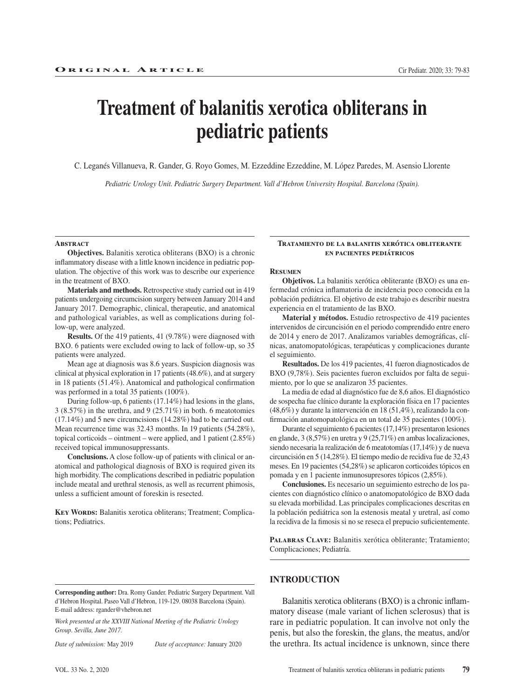# **Treatment of balanitis xerotica obliterans in pediatric patients**

C. Leganés Villanueva, R. Gander, G. Royo Gomes, M. Ezzeddine Ezzeddine, M. López Paredes, M. Asensio Llorente

*Pediatric Urology Unit. Pediatric Surgery Department. Vall d'Hebron University Hospital. Barcelona (Spain).*

#### **Abstract**

**Objectives.** Balanitis xerotica obliterans (BXO) is a chronic inflammatory disease with a little known incidence in pediatric population. The objective of this work was to describe our experience in the treatment of BXO.

**Materials and methods.** Retrospective study carried out in 419 patients undergoing circumcision surgery between January 2014 and January 2017. Demographic, clinical, therapeutic, and anatomical and pathological variables, as well as complications during follow-up, were analyzed.

**Results.** Of the 419 patients, 41 (9.78%) were diagnosed with BXO. 6 patients were excluded owing to lack of follow-up, so 35 patients were analyzed.

Mean age at diagnosis was 8.6 years. Suspicion diagnosis was clinical at physical exploration in 17 patients (48.6%), and at surgery in 18 patients (51.4%). Anatomical and pathological confirmation was performed in a total 35 patients (100%).

During follow-up, 6 patients (17.14%) had lesions in the glans, 3 (8.57%) in the urethra, and 9 (25.71%) in both. 6 meatotomies (17.14%) and 5 new circumcisions (14.28%) had to be carried out. Mean recurrence time was 32.43 months. In 19 patients (54.28%), topical corticoids – ointment – were applied, and 1 patient (2.85%) received topical immunosuppressants.

**Conclusions.** A close follow-up of patients with clinical or anatomical and pathological diagnosis of BXO is required given its high morbidity. The complications described in pediatric population include meatal and urethral stenosis, as well as recurrent phimosis, unless a sufficient amount of foreskin is resected.

KEY WORDS: Balanitis xerotica obliterans; Treatment; Complications; Pediatrics.

#### **Tratamiento de la balanitis xerótica obliterante en pacientes pediátricos**

### **Resumen**

**Objetivos.** La balanitis xerótica obliterante (BXO) es una enfermedad crónica inflamatoria de incidencia poco conocida en la población pediátrica. El objetivo de este trabajo es describir nuestra experiencia en el tratamiento de las BXO.

**Material y métodos.** Estudio retrospectivo de 419 pacientes intervenidos de circuncisión en el periodo comprendido entre enero de 2014 y enero de 2017. Analizamos variables demográficas, clínicas, anatomopatológicas, terapéuticas y complicaciones durante el seguimiento.

**Resultados.** De los 419 pacientes, 41 fueron diagnosticados de BXO (9,78%). Seis pacientes fueron excluidos por falta de seguimiento, por lo que se analizaron 35 pacientes.

La media de edad al diagnóstico fue de 8,6 años. El diagnóstico de sospecha fue clínico durante la exploración física en 17 pacientes (48,6%) y durante la intervención en 18 (51,4%), realizando la confirmación anatomopatológica en un total de 35 pacientes (100%).

Durante el seguimiento 6 pacientes (17,14%) presentaron lesiones en glande, 3 (8,57%) en uretra y 9 (25,71%) en ambas localizaciones, siendo necesaria la realización de 6 meatotomías (17,14%) y de nueva circuncisión en 5 (14,28%). El tiempo medio de recidiva fue de 32,43 meses. En 19 pacientes (54,28%) se aplicaron corticoides tópicos en pomada y en 1 paciente inmunosupresores tópicos (2,85%).

**Conclusiones.** Es necesario un seguimiento estrecho de los pacientes con diagnóstico clínico o anatomopatológico de BXO dada su elevada morbilidad. Las principales complicaciones descritas en la población pediátrica son la estenosis meatal y uretral, así como la recidiva de la fimosis si no se reseca el prepucio suficientemente.

PALABRAS CLAVE: Balanitis xerótica obliterante; Tratamiento; Complicaciones; Pediatría.

**Corresponding author:** Dra. Romy Gander. Pediatric Surgery Department. Vall d'Hebron Hospital. Paseo Vall d'Hebron, 119-129. 08038 Barcelona (Spain). E-mail address: rgander@vhebron.net

*Work presented at the XXVIII National Meeting of the Pediatric Urology Group. Sevilla, June 2017.*

*Date of submission:* May 2019 *Date of acceptance:* January 2020

# **INTRODUCTION**

Balanitis xerotica obliterans (BXO) is a chronic inflammatory disease (male variant of lichen sclerosus) that is rare in pediatric population. It can involve not only the penis, but also the foreskin, the glans, the meatus, and/or the urethra. Its actual incidence is unknown, since there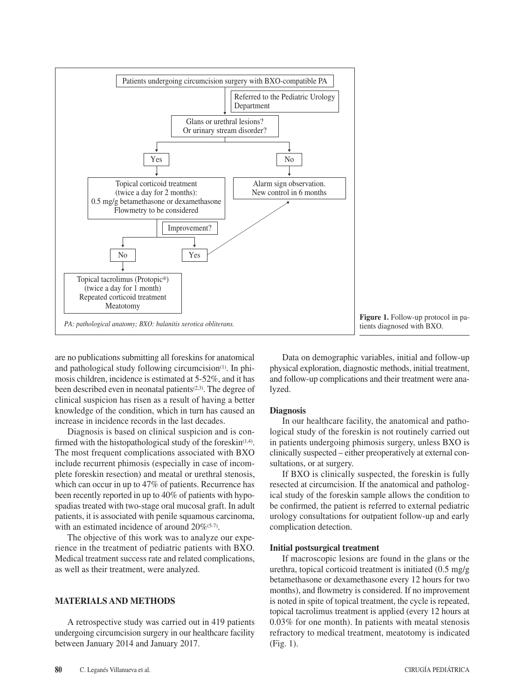

**Figure 1.** Follow-up protocol in patients diagnosed with BXO.

are no publications submitting all foreskins for anatomical and pathological study following circumcision<sup>(1)</sup>. In phimosis children, incidence is estimated at 5-52%, and it has been described even in neonatal patients<sup> $(2,3)$ </sup>. The degree of clinical suspicion has risen as a result of having a better knowledge of the condition, which in turn has caused an increase in incidence records in the last decades.

Diagnosis is based on clinical suspicion and is confirmed with the histopathological study of the foreskin $(1,4)$ . The most frequent complications associated with BXO include recurrent phimosis (especially in case of incomplete foreskin resection) and meatal or urethral stenosis, which can occur in up to 47% of patients. Recurrence has been recently reported in up to 40% of patients with hypospadias treated with two-stage oral mucosal graft. In adult patients, it is associated with penile squamous carcinoma, with an estimated incidence of around 20%<sup>(5-7)</sup>.

The objective of this work was to analyze our experience in the treatment of pediatric patients with BXO. Medical treatment success rate and related complications, as well as their treatment, were analyzed.

# **MATERIALS AND METHODS**

A retrospective study was carried out in 419 patients undergoing circumcision surgery in our healthcare facility between January 2014 and January 2017.

Data on demographic variables, initial and follow-up physical exploration, diagnostic methods, initial treatment, and follow-up complications and their treatment were analyzed.

### **Diagnosis**

In our healthcare facility, the anatomical and pathological study of the foreskin is not routinely carried out in patients undergoing phimosis surgery, unless BXO is clinically suspected – either preoperatively at external consultations, or at surgery.

If BXO is clinically suspected, the foreskin is fully resected at circumcision. If the anatomical and pathological study of the foreskin sample allows the condition to be confirmed, the patient is referred to external pediatric urology consultations for outpatient follow-up and early complication detection.

#### **Initial postsurgical treatment**

If macroscopic lesions are found in the glans or the urethra, topical corticoid treatment is initiated (0.5 mg/g betamethasone or dexamethasone every 12 hours for two months), and flowmetry is considered. If no improvement is noted in spite of topical treatment, the cycle is repeated, topical tacrolimus treatment is applied (every 12 hours at 0.03% for one month). In patients with meatal stenosis refractory to medical treatment, meatotomy is indicated (Fig. 1).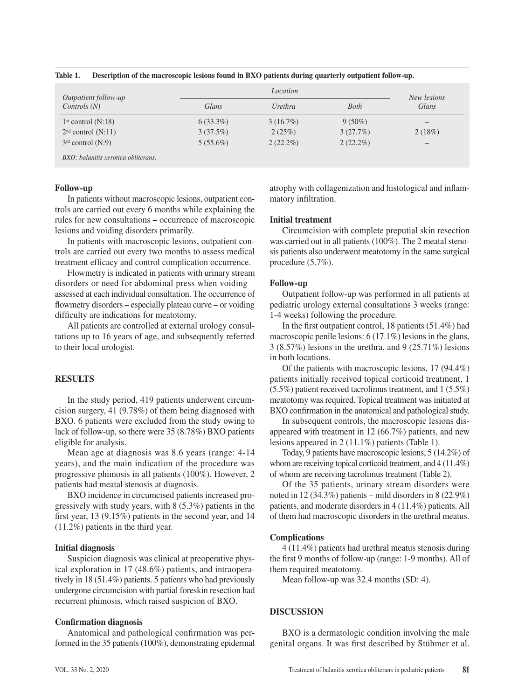| Table 1. |  | Description of the macroscopic lesions found in BXO patients during quarterly outpatient follow-up. |  |  |  |  |
|----------|--|-----------------------------------------------------------------------------------------------------|--|--|--|--|
|----------|--|-----------------------------------------------------------------------------------------------------|--|--|--|--|

| Outpatient follow-up                |             | New lesions |             |                          |
|-------------------------------------|-------------|-------------|-------------|--------------------------|
| Controls(N)                         | Glans       | Urethra     | <b>Both</b> | Glans                    |
| 1 <sup>st</sup> control (N:18)      | $6(33.3\%)$ | $3(16.7\%)$ | $9(50\%)$   |                          |
| 2 <sup>nd</sup> control (N:11)      | 3(37.5%)    | 2(25%)      | 3(27.7%)    | 2(18%)                   |
| $3rd$ control (N:9)                 | $5(55.6\%)$ | $2(22.2\%)$ | $2(22.2\%)$ | $\overline{\phantom{0}}$ |
| BXO: balanitis xerotica obliterans. |             |             |             |                          |

#### **Follow-up**

In patients without macroscopic lesions, outpatient controls are carried out every 6 months while explaining the rules for new consultations – occurrence of macroscopic lesions and voiding disorders primarily.

In patients with macroscopic lesions, outpatient controls are carried out every two months to assess medical treatment efficacy and control complication occurrence.

Flowmetry is indicated in patients with urinary stream disorders or need for abdominal press when voiding – assessed at each individual consultation. The occurrence of flowmetry disorders – especially plateau curve – or voiding difficulty are indications for meatotomy.

All patients are controlled at external urology consultations up to 16 years of age, and subsequently referred to their local urologist.

# **RESULTS**

In the study period, 419 patients underwent circumcision surgery, 41 (9.78%) of them being diagnosed with BXO. 6 patients were excluded from the study owing to lack of follow-up, so there were 35 (8.78%) BXO patients eligible for analysis.

Mean age at diagnosis was 8.6 years (range: 4-14 years), and the main indication of the procedure was progressive phimosis in all patients (100%). However, 2 patients had meatal stenosis at diagnosis.

BXO incidence in circumcised patients increased progressively with study years, with 8 (5.3%) patients in the first year, 13 (9.15%) patients in the second year, and 14 (11.2%) patients in the third year.

#### **Initial diagnosis**

Suspicion diagnosis was clinical at preoperative physical exploration in 17 (48.6%) patients, and intraoperatively in 18 (51.4%) patients. 5 patients who had previously undergone circumcision with partial foreskin resection had recurrent phimosis, which raised suspicion of BXO.

#### **Confirmation diagnosis**

Anatomical and pathological confirmation was performed in the 35 patients (100%), demonstrating epidermal atrophy with collagenization and histological and inflammatory infiltration.

# **Initial treatment**

Circumcision with complete preputial skin resection was carried out in all patients (100%). The 2 meatal stenosis patients also underwent meatotomy in the same surgical procedure (5.7%).

#### **Follow-up**

Outpatient follow-up was performed in all patients at pediatric urology external consultations 3 weeks (range: 1-4 weeks) following the procedure.

In the first outpatient control, 18 patients (51.4%) had macroscopic penile lesions: 6 (17.1%) lesions in the glans, 3 (8.57%) lesions in the urethra, and 9 (25.71%) lesions in both locations.

Of the patients with macroscopic lesions, 17 (94.4%) patients initially received topical corticoid treatment, 1 (5.5%) patient received tacrolimus treatment, and 1 (5.5%) meatotomy was required. Topical treatment was initiated at BXO confirmation in the anatomical and pathological study.

In subsequent controls, the macroscopic lesions disappeared with treatment in 12 (66.7%) patients, and new lesions appeared in 2 (11.1%) patients (Table 1).

Today, 9 patients have macroscopic lesions, 5 (14.2%) of whom are receiving topical corticoid treatment, and 4 (11.4%) of whom are receiving tacrolimus treatment (Table 2).

Of the 35 patients, urinary stream disorders were noted in 12 (34.3%) patients – mild disorders in 8 (22.9%) patients, and moderate disorders in 4 (11.4%) patients. All of them had macroscopic disorders in the urethral meatus.

# **Complications**

4 (11.4%) patients had urethral meatus stenosis during the first 9 months of follow-up (range: 1-9 months). All of them required meatotomy.

Mean follow-up was 32.4 months (SD: 4).

# **DISCUSSION**

BXO is a dermatologic condition involving the male genital organs. It was first described by Stühmer et al.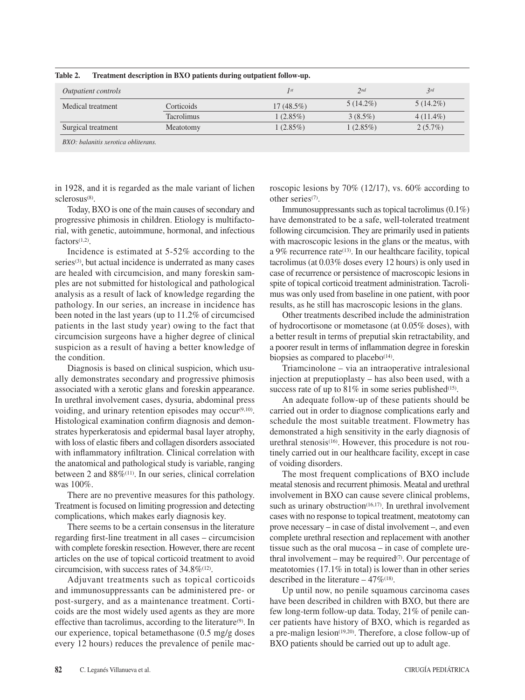| Outpatient controls |                   | $\int$ st    | 2nd         | 3rd         |
|---------------------|-------------------|--------------|-------------|-------------|
| Medical treatment   | Corticoids        | $17(48.5\%)$ | $5(14.2\%)$ | $5(14.2\%)$ |
|                     | <b>Tacrolimus</b> | $1(2.85\%)$  | $3(8.5\%)$  | $4(11.4\%)$ |
| Surgical treatment  | Meatotomy         | $1(2.85\%)$  | $1(2.85\%)$ | $2(5.7\%)$  |

**Table 2. Treatment description in BXO patients during outpatient follow-up.** 

in 1928, and it is regarded as the male variant of lichen sclerosus<sup>(8)</sup>.

roscopic lesions by 70% (12/17), vs. 60% according to other series<sup>(7)</sup>.

Today, BXO is one of the main causes of secondary and progressive phimosis in children. Etiology is multifactorial, with genetic, autoimmune, hormonal, and infectious  $factors(1,2)$ 

Incidence is estimated at 5-52% according to the series<sup>(3)</sup>, but actual incidence is underrated as many cases are healed with circumcision, and many foreskin samples are not submitted for histological and pathological analysis as a result of lack of knowledge regarding the pathology. In our series, an increase in incidence has been noted in the last years (up to 11.2% of circumcised patients in the last study year) owing to the fact that circumcision surgeons have a higher degree of clinical suspicion as a result of having a better knowledge of the condition.

Diagnosis is based on clinical suspicion, which usually demonstrates secondary and progressive phimosis associated with a xerotic glans and foreskin appearance. In urethral involvement cases, dysuria, abdominal press voiding, and urinary retention episodes may occur $(9,10)$ . Histological examination confirm diagnosis and demonstrates hyperkeratosis and epidermal basal layer atrophy, with loss of elastic fibers and collagen disorders associated with inflammatory infiltration. Clinical correlation with the anatomical and pathological study is variable, ranging between 2 and  $88\%$ <sup>(11)</sup>. In our series, clinical correlation was 100%.

There are no preventive measures for this pathology. Treatment is focused on limiting progression and detecting complications, which makes early diagnosis key.

There seems to be a certain consensus in the literature regarding first-line treatment in all cases – circumcision with complete foreskin resection. However, there are recent articles on the use of topical corticoid treatment to avoid circumcision, with success rates of  $34.8\%$ <sup>(12)</sup>.

Adjuvant treatments such as topical corticoids and immunosuppressants can be administered pre- or post-surgery, and as a maintenance treatment. Corticoids are the most widely used agents as they are more effective than tacrolimus, according to the literature(9). In our experience, topical betamethasone (0.5 mg/g doses every 12 hours) reduces the prevalence of penile mac-

Immunosuppressants such as topical tacrolimus (0.1%) have demonstrated to be a safe, well-tolerated treatment following circumcision. They are primarily used in patients with macroscopic lesions in the glans or the meatus, with a 9% recurrence rate<sup>(13)</sup>. In our healthcare facility, topical tacrolimus (at 0.03% doses every 12 hours) is only used in case of recurrence or persistence of macroscopic lesions in spite of topical corticoid treatment administration. Tacrolimus was only used from baseline in one patient, with poor results, as he still has macroscopic lesions in the glans.

Other treatments described include the administration of hydrocortisone or mometasone (at 0.05% doses), with a better result in terms of preputial skin retractability, and a poorer result in terms of inflammation degree in foreskin biopsies as compared to placebo<sup>(14)</sup>.

Triamcinolone – via an intraoperative intralesional injection at preputioplasty – has also been used, with a success rate of up to  $81\%$  in some series published<sup>(15)</sup>.

An adequate follow-up of these patients should be carried out in order to diagnose complications early and schedule the most suitable treatment. Flowmetry has demonstrated a high sensitivity in the early diagnosis of urethral stenosis $(16)$ . However, this procedure is not routinely carried out in our healthcare facility, except in case of voiding disorders.

The most frequent complications of BXO include meatal stenosis and recurrent phimosis. Meatal and urethral involvement in BXO can cause severe clinical problems, such as urinary obstruction<sup>(16,17)</sup>. In urethral involvement cases with no response to topical treatment, meatotomy can prove necessary – in case of distal involvement –, and even complete urethral resection and replacement with another tissue such as the oral mucosa – in case of complete urethral involvement – may be required $(7)$ . Our percentage of meatotomies (17.1% in total) is lower than in other series described in the literature  $-47\%$ <sup>(18)</sup>.

Up until now, no penile squamous carcinoma cases have been described in children with BXO, but there are few long-term follow-up data. Today, 21% of penile cancer patients have history of BXO, which is regarded as a pre-malign lesion<sup>(19,20)</sup>. Therefore, a close follow-up of BXO patients should be carried out up to adult age.